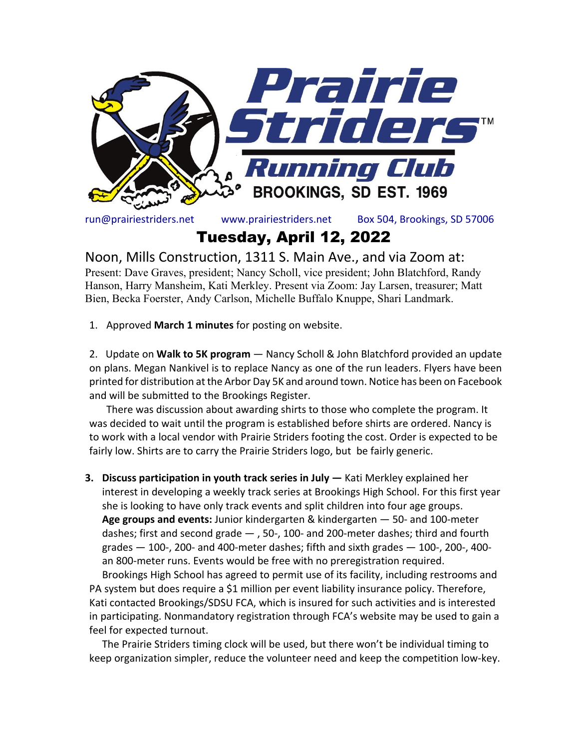

run@prairiestriders.net www.prairiestriders.net Box 504, Brookings, SD 57006

Tuesday, April 12, 2022

Noon, Mills Construction, 1311 S. Main Ave., and via Zoom at:

Present: Dave Graves, president; Nancy Scholl, vice president; John Blatchford, Randy Hanson, Harry Mansheim, Kati Merkley. Present via Zoom: Jay Larsen, treasurer; Matt Bien, Becka Foerster, Andy Carlson, Michelle Buffalo Knuppe, Shari Landmark.

1. Approved **March 1 minutes** for posting on website.

2. Update on **Walk to 5K program** — Nancy Scholl & John Blatchford provided an update on plans. Megan Nankivel is to replace Nancy as one of the run leaders. Flyers have been printed for distribution at the Arbor Day 5K and around town. Notice has been on Facebook and will be submitted to the Brookings Register.

There was discussion about awarding shirts to those who complete the program. It was decided to wait until the program is established before shirts are ordered. Nancy is to work with a local vendor with Prairie Striders footing the cost. Order is expected to be fairly low. Shirts are to carry the Prairie Striders logo, but be fairly generic.

**3. Discuss participation in youth track series in July —** Kati Merkley explained her interest in developing a weekly track series at Brookings High School. For this first year she is looking to have only track events and split children into four age groups. **Age groups and events:** Junior kindergarten & kindergarten — 50- and 100-meter dashes; first and second grade — , 50-, 100- and 200-meter dashes; third and fourth grades  $-100$ -, 200- and 400-meter dashes; fifth and sixth grades  $-100$ -, 200-, 400an 800-meter runs. Events would be free with no preregistration required.

Brookings High School has agreed to permit use of its facility, including restrooms and PA system but does require a \$1 million per event liability insurance policy. Therefore, Kati contacted Brookings/SDSU FCA, which is insured for such activities and is interested in participating. Nonmandatory registration through FCA's website may be used to gain a feel for expected turnout.

The Prairie Striders timing clock will be used, but there won't be individual timing to keep organization simpler, reduce the volunteer need and keep the competition low-key.